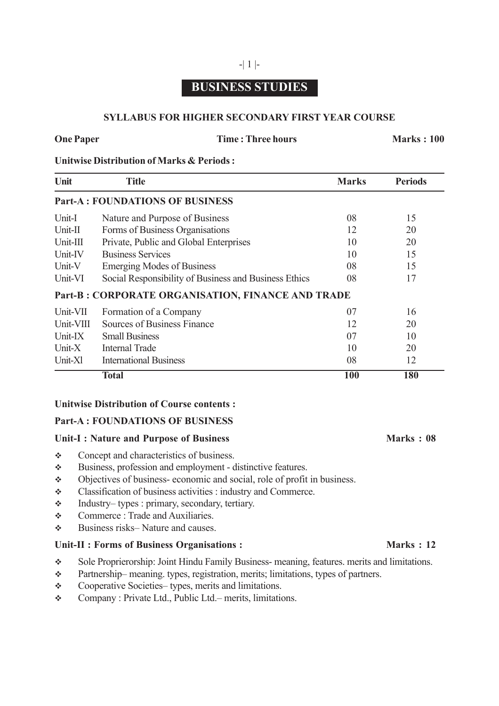# **BUSINESS STUDIES**

-| 1 |-

# **SYLLABUS FOR HIGHER SECONDARY FIRST YEAR COURSE**

#### **One Paper Time : Three hours Marks : 100**

# **Unitwise Distribution of Marks & Periods :**

| Unit      | <b>Title</b>                                          | <b>Marks</b> | <b>Periods</b> |
|-----------|-------------------------------------------------------|--------------|----------------|
|           | <b>Part-A: FOUNDATIONS OF BUSINESS</b>                |              |                |
| Unit-I    | Nature and Purpose of Business                        | 08           | 15             |
| Unit-II   | Forms of Business Organisations                       | 12           | 20             |
| Unit-III  | Private, Public and Global Enterprises                | 10           | 20             |
| Unit-IV   | <b>Business Services</b>                              | 10           | 15             |
| Unit-V    | <b>Emerging Modes of Business</b>                     | 08           | 15             |
| Unit-VI   | Social Responsibility of Business and Business Ethics | 08           | 17             |
|           | Part-B: CORPORATE ORGANISATION, FINANCE AND TRADE     |              |                |
| Unit-VII  | Formation of a Company                                | 07           | 16             |
| Unit-VIII | Sources of Business Finance                           | 12           | 20             |
| Unit-IX   | <b>Small Business</b>                                 | 07           | 10             |
| Unit- $X$ | <b>Internal Trade</b>                                 | 10           | 20             |
| Unit-Xl   | <b>International Business</b>                         | 08           | 12             |
|           | <b>Total</b>                                          | 100          | 180            |

### **Unitwise Distribution of Course contents :**

### **Part-A : FOUNDATIONS OF BUSINESS**

#### Unit-I : Nature and Purpose of Business Marks : 08

- Concept and characteristics of business.
- Business, profession and employment distinctive features.
- Objectives of business- economic and social, role of profit in business.
- Classification of business activities : industry and Commerce.
- Industry– types : primary, secondary, tertiary.
- **EXECOMMERGE:** Trade and Auxiliaries.
- $\triangle$  Business risks– Nature and causes.

### Unit-II **:** Forms of Business Organisations : Marks : 12

- Sole Proprierorship: Joint Hindu Family Business- meaning, features. merits and limitations.
- Partnership– meaning. types, registration, merits; limitations, types of partners.
- Cooperative Societies– types, merits and limitations.
- Company : Private Ltd., Public Ltd.– merits, limitations.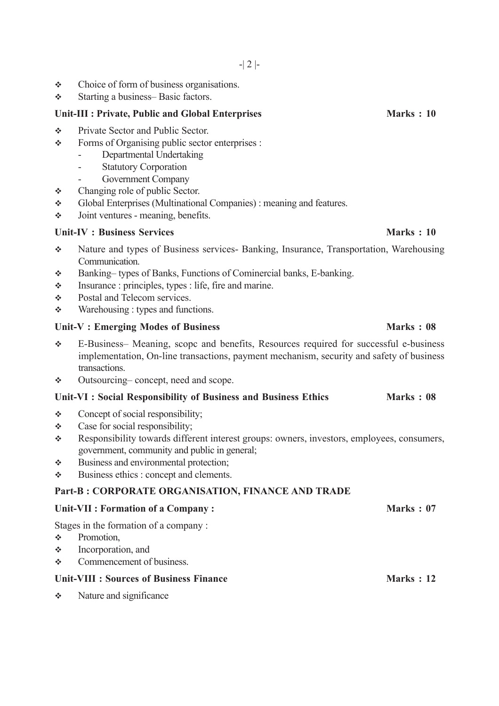- Choice of form of business organisations.
- Starting a business– Basic factors.

#### Unit-III : Private, Public and Global Enterprises Marks : 10

- Private Sector and Public Sector.
- Forms of Organising public sector enterprises :
	- Departmental Undertaking
	- Statutory Corporation
	- Government Company
- Changing role of public Sector.
- Global Enterprises (Multinational Companies) : meaning and features.
- $\div$  Joint ventures meaning, benefits.

### Unit-IV **:** Business Services **Marks** : 10

- Nature and types of Business services- Banking, Insurance, Transportation, Warehousing Communication.
- Banking– types of Banks, Functions of Cominercial banks, E-banking.
- $\cdot \cdot$  Insurance : principles, types : life, fire and marine.
- Postal and Telecom services.
- $\triangleleft$  Warehousing : types and functions.

## Unit-V : Emerging Modes of Business Marks : 08

- E-Business– Meaning, scopc and benefits, Resources required for successful e-business implementation, On-line transactions, payment mechanism, security and safety of business transactions.
- Outsourcing– concept, need and scope.

### Unit-VI : Social Responsibility of Business and Business Ethics Marks : 08

- $\div$  Concept of social responsibility;
- Case for social responsibility;
- Responsibility towards different interest groups: owners, investors, employees, consumers, government, community and public in general;
- $\triangleleft$  Business and environmental protection;
- $\div$  Business ethics : concept and clements.

## **Part-B : CORPORATE ORGANISATION, FINANCE AND TRADE**

#### Unit-VII : Formation of a Company : Marks : 07

Stages in the formation of a company :

- **Promotion,**
- $\triangleleft$  Incorporation, and
- Commencement of business.

### Unit-VIII : Sources of Business Finance Marks : 12

 $\div$  Nature and significance